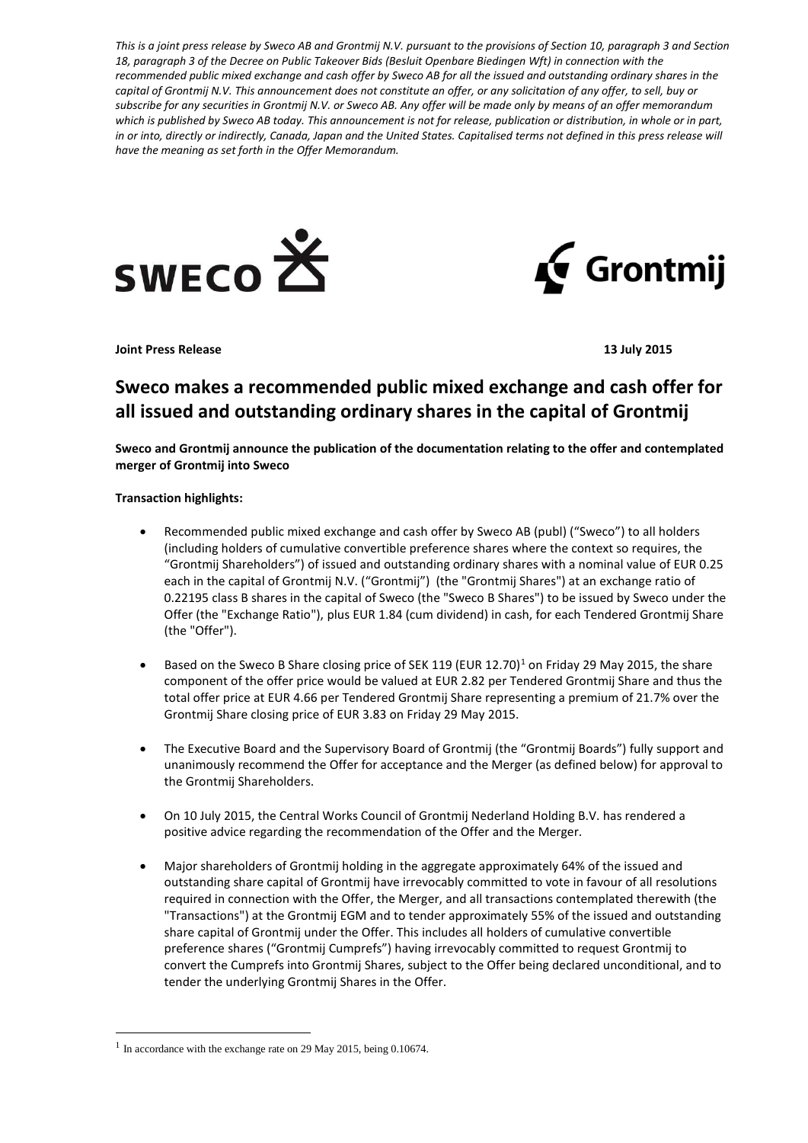*This is a joint press release by Sweco AB and Grontmij N.V. pursuant to the provisions of Section 10, paragraph 3 and Section 18, paragraph 3 of the Decree on Public Takeover Bids (Besluit Openbare Biedingen Wft) in connection with the recommended public mixed exchange and cash offer by Sweco AB for all the issued and outstanding ordinary shares in the capital of Grontmij N.V. This announcement does not constitute an offer, or any solicitation of any offer, to sell, buy or subscribe for any securities in Grontmij N.V. or Sweco AB. Any offer will be made only by means of an offer memorandum which is published by Sweco AB today. This announcement is not for release, publication or distribution, in whole or in part, in or into, directly or indirectly, Canada, Japan and the United States. Capitalised terms not defined in this press release will have the meaning as set forth in the Offer Memorandum.*





**Joint Press Release 13 July 2015**

# **Sweco makes a recommended public mixed exchange and cash offer for all issued and outstanding ordinary shares in the capital of Grontmij**

**Sweco and Grontmij announce the publication of the documentation relating to the offer and contemplated merger of Grontmij into Sweco**

# **Transaction highlights:**

- Recommended public mixed exchange and cash offer by Sweco AB (publ) ("Sweco") to all holders (including holders of cumulative convertible preference shares where the context so requires, the "Grontmij Shareholders") of issued and outstanding ordinary shares with a nominal value of EUR 0.25 each in the capital of Grontmij N.V. ("Grontmij") (the "Grontmij Shares") at an exchange ratio of 0.22195 class B shares in the capital of Sweco (the "Sweco B Shares") to be issued by Sweco under the Offer (the "Exchange Ratio"), plus EUR 1.84 (cum dividend) in cash, for each Tendered Grontmij Share (the "Offer").
- Based on the Sweco B Share closing price of SEK [1](#page-0-0)19 (EUR 12.70)<sup>1</sup> on Friday 29 May 2015, the share component of the offer price would be valued at EUR 2.82 per Tendered Grontmij Share and thus the total offer price at EUR 4.66 per Tendered Grontmij Share representing a premium of 21.7% over the Grontmij Share closing price of EUR 3.83 on Friday 29 May 2015.
- The Executive Board and the Supervisory Board of Grontmij (the "Grontmij Boards") fully support and unanimously recommend the Offer for acceptance and the Merger (as defined below) for approval to the Grontmij Shareholders.
- On 10 July 2015, the Central Works Council of Grontmij Nederland Holding B.V. has rendered a positive advice regarding the recommendation of the Offer and the Merger.
- Major shareholders of Grontmij holding in the aggregate approximately 64% of the issued and outstanding share capital of Grontmij have irrevocably committed to vote in favour of all resolutions required in connection with the Offer, the Merger, and all transactions contemplated therewith (the "Transactions") at the Grontmij EGM and to tender approximately 55% of the issued and outstanding share capital of Grontmij under the Offer. This includes all holders of cumulative convertible preference shares ("Grontmij Cumprefs") having irrevocably committed to request Grontmij to convert the Cumprefs into Grontmij Shares, subject to the Offer being declared unconditional, and to tender the underlying Grontmij Shares in the Offer.

-

<span id="page-0-0"></span><sup>&</sup>lt;sup>1</sup> In accordance with the exchange rate on 29 May 2015, being 0.10674.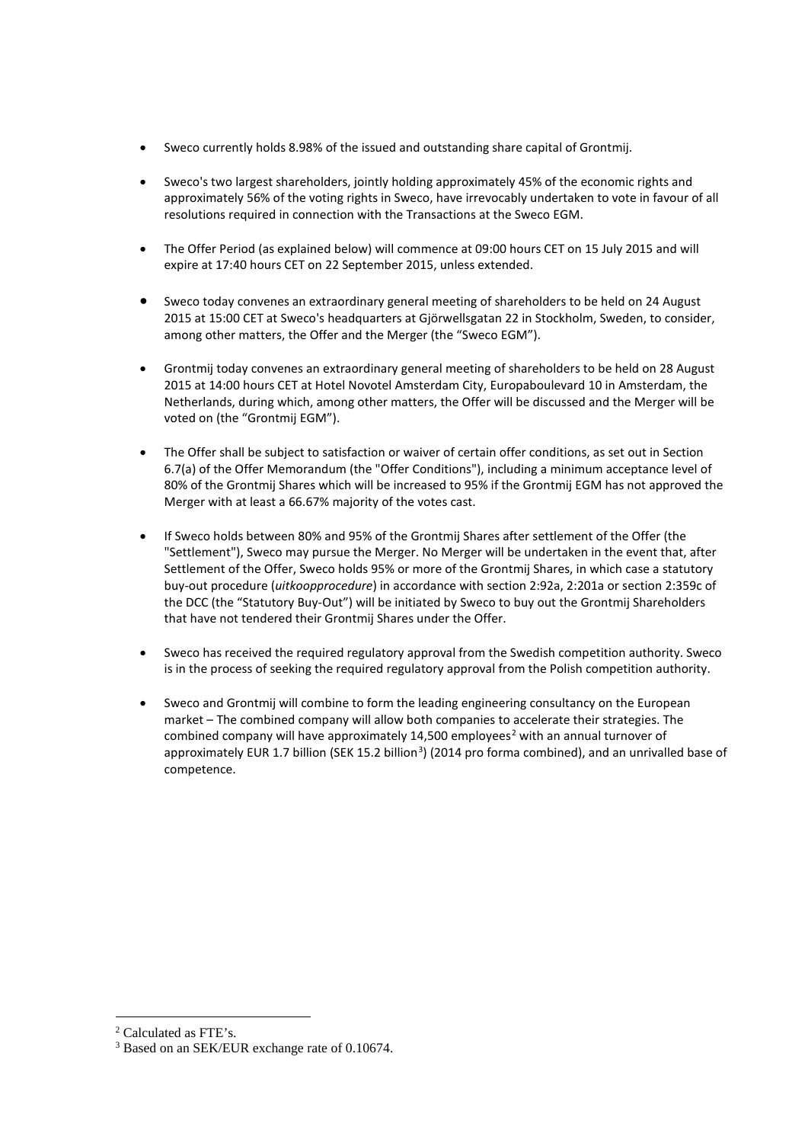- Sweco currently holds 8.98% of the issued and outstanding share capital of Grontmij.
- Sweco's two largest shareholders, jointly holding approximately 45% of the economic rights and approximately 56% of the voting rights in Sweco, have irrevocably undertaken to vote in favour of all resolutions required in connection with the Transactions at the Sweco EGM.
- The Offer Period (as explained below) will commence at 09:00 hours CET on 15 July 2015 and will expire at 17:40 hours CET on 22 September 2015, unless extended.
- Sweco today convenes an extraordinary general meeting of shareholders to be held on 24 August 2015 at 15:00 CET at Sweco's headquarters at Gjörwellsgatan 22 in Stockholm, Sweden, to consider, among other matters, the Offer and the Merger (the "Sweco EGM").
- Grontmij today convenes an extraordinary general meeting of shareholders to be held on 28 August 2015 at 14:00 hours CET at Hotel Novotel Amsterdam City, Europaboulevard 10 in Amsterdam, the Netherlands, during which, among other matters, the Offer will be discussed and the Merger will be voted on (the "Grontmij EGM").
- The Offer shall be subject to satisfaction or waiver of certain offer conditions, as set out in Section 6.7(a) of the Offer Memorandum (the "Offer Conditions"), including a minimum acceptance level of 80% of the Grontmij Shares which will be increased to 95% if the Grontmij EGM has not approved the Merger with at least a 66.67% majority of the votes cast.
- If Sweco holds between 80% and 95% of the Grontmij Shares after settlement of the Offer (the "Settlement"), Sweco may pursue the Merger. No Merger will be undertaken in the event that, after Settlement of the Offer, Sweco holds 95% or more of the Grontmij Shares, in which case a statutory buy-out procedure (*uitkoopprocedure*) in accordance with section 2:92a, 2:201a or section 2:359c of the DCC (the "Statutory Buy-Out") will be initiated by Sweco to buy out the Grontmij Shareholders that have not tendered their Grontmij Shares under the Offer.
- Sweco has received the required regulatory approval from the Swedish competition authority. Sweco is in the process of seeking the required regulatory approval from the Polish competition authority.
- Sweco and Grontmij will combine to form the leading engineering consultancy on the European market – The combined company will allow both companies to accelerate their strategies. The combined company will have approximately 14,500 employees<sup>[2](#page-1-0)</sup> with an annual turnover of approximately EUR 1.7 billion (SEK 15.2 billion<sup>[3](#page-1-1)</sup>) (2014 pro forma combined), and an unrivalled base of competence.

<u>.</u>

<span id="page-1-0"></span><sup>2</sup> Calculated as FTE's.

<span id="page-1-1"></span><sup>3</sup> Based on an SEK/EUR exchange rate of 0.10674.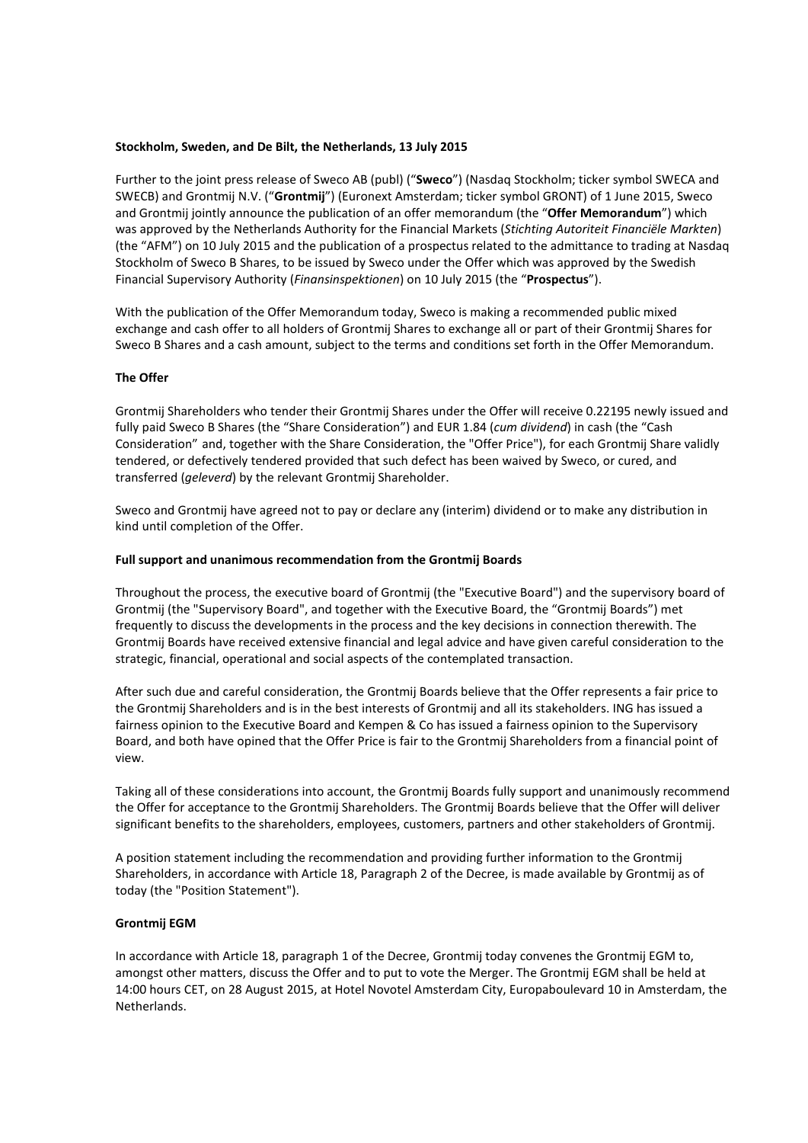## **Stockholm, Sweden, and De Bilt, the Netherlands, 13 July 2015**

Further to the joint press release of Sweco AB (publ) ("**Sweco**") (Nasdaq Stockholm; ticker symbol SWECA and SWECB) and Grontmij N.V. ("**Grontmij**") (Euronext Amsterdam; ticker symbol GRONT) of 1 June 2015, Sweco and Grontmij jointly announce the publication of an offer memorandum (the "**Offer Memorandum**") which was approved by the Netherlands Authority for the Financial Markets (*Stichting Autoriteit Financiële Markten*) (the "AFM") on 10 July 2015 and the publication of a prospectus related to the admittance to trading at Nasdaq Stockholm of Sweco B Shares, to be issued by Sweco under the Offer which was approved by the Swedish Financial Supervisory Authority (*Finansinspektionen*) on 10 July 2015 (the "**Prospectus**").

With the publication of the Offer Memorandum today, Sweco is making a recommended public mixed exchange and cash offer to all holders of Grontmij Shares to exchange all or part of their Grontmij Shares for Sweco B Shares and a cash amount, subject to the terms and conditions set forth in the Offer Memorandum.

## **The Offer**

Grontmij Shareholders who tender their Grontmij Shares under the Offer will receive 0.22195 newly issued and fully paid Sweco B Shares (the "Share Consideration") and EUR 1.84 (*cum dividend*) in cash (the "Cash Consideration" and, together with the Share Consideration, the "Offer Price"), for each Grontmij Share validly tendered, or defectively tendered provided that such defect has been waived by Sweco, or cured, and transferred (*geleverd*) by the relevant Grontmij Shareholder.

Sweco and Grontmij have agreed not to pay or declare any (interim) dividend or to make any distribution in kind until completion of the Offer.

## **Full support and unanimous recommendation from the Grontmij Boards**

Throughout the process, the executive board of Grontmij (the "Executive Board") and the supervisory board of Grontmij (the "Supervisory Board", and together with the Executive Board, the "Grontmij Boards") met frequently to discuss the developments in the process and the key decisions in connection therewith. The Grontmij Boards have received extensive financial and legal advice and have given careful consideration to the strategic, financial, operational and social aspects of the contemplated transaction.

After such due and careful consideration, the Grontmij Boards believe that the Offer represents a fair price to the Grontmij Shareholders and is in the best interests of Grontmij and all its stakeholders. ING has issued a fairness opinion to the Executive Board and Kempen & Co has issued a fairness opinion to the Supervisory Board, and both have opined that the Offer Price is fair to the Grontmij Shareholders from a financial point of view.

Taking all of these considerations into account, the Grontmij Boards fully support and unanimously recommend the Offer for acceptance to the Grontmij Shareholders. The Grontmij Boards believe that the Offer will deliver significant benefits to the shareholders, employees, customers, partners and other stakeholders of Grontmij.

A position statement including the recommendation and providing further information to the Grontmij Shareholders, in accordance with Article 18, Paragraph 2 of the Decree, is made available by Grontmij as of today (the "Position Statement").

# **Grontmij EGM**

In accordance with Article 18, paragraph 1 of the Decree, Grontmij today convenes the Grontmij EGM to, amongst other matters, discuss the Offer and to put to vote the Merger. The Grontmij EGM shall be held at 14:00 hours CET, on 28 August 2015, at Hotel Novotel Amsterdam City, Europaboulevard 10 in Amsterdam, the Netherlands.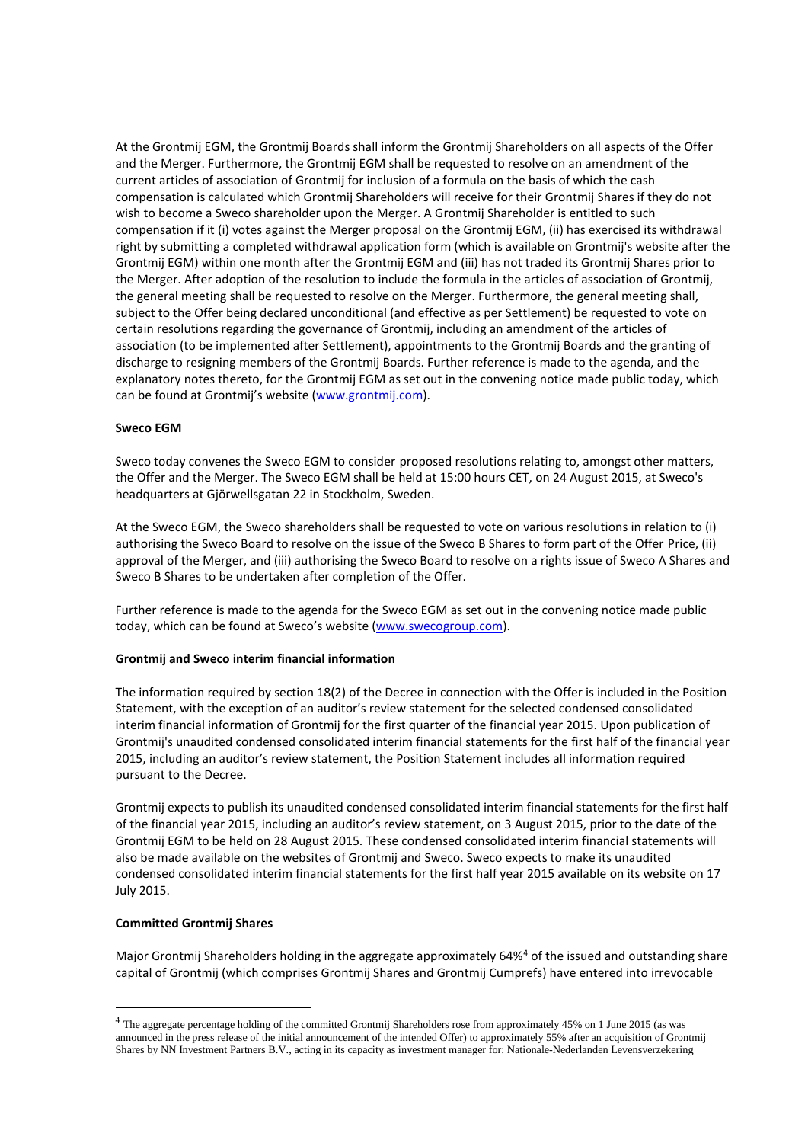At the Grontmij EGM, the Grontmij Boards shall inform the Grontmij Shareholders on all aspects of the Offer and the Merger. Furthermore, the Grontmij EGM shall be requested to resolve on an amendment of the current articles of association of Grontmij for inclusion of a formula on the basis of which the cash compensation is calculated which Grontmij Shareholders will receive for their Grontmij Shares if they do not wish to become a Sweco shareholder upon the Merger. A Grontmij Shareholder is entitled to such compensation if it (i) votes against the Merger proposal on the Grontmij EGM, (ii) has exercised its withdrawal right by submitting a completed withdrawal application form (which is available on Grontmij's website after the Grontmij EGM) within one month after the Grontmij EGM and (iii) has not traded its Grontmij Shares prior to the Merger. After adoption of the resolution to include the formula in the articles of association of Grontmij, the general meeting shall be requested to resolve on the Merger. Furthermore, the general meeting shall, subject to the Offer being declared unconditional (and effective as per Settlement) be requested to vote on certain resolutions regarding the governance of Grontmij, including an amendment of the articles of association (to be implemented after Settlement), appointments to the Grontmij Boards and the granting of discharge to resigning members of the Grontmij Boards. Further reference is made to the agenda, and the explanatory notes thereto, for the Grontmij EGM as set out in the convening notice made public today, which can be found at Grontmij's website [\(www.grontmij.com\)](http://www.grontmij.com/).

# **Sweco EGM**

Sweco today convenes the Sweco EGM to consider proposed resolutions relating to, amongst other matters, the Offer and the Merger. The Sweco EGM shall be held at 15:00 hours CET, on 24 August 2015, at Sweco's headquarters at Gjörwellsgatan 22 in Stockholm, Sweden.

At the Sweco EGM, the Sweco shareholders shall be requested to vote on various resolutions in relation to (i) authorising the Sweco Board to resolve on the issue of the Sweco B Shares to form part of the Offer Price, (ii) approval of the Merger, and (iii) authorising the Sweco Board to resolve on a rights issue of Sweco A Shares and Sweco B Shares to be undertaken after completion of the Offer.

Further reference is made to the agenda for the Sweco EGM as set out in the convening notice made public today, which can be found at Sweco's website [\(www.swecogroup.com\)](http://www.swecogroup.com/).

## **Grontmij and Sweco interim financial information**

The information required by section 18(2) of the Decree in connection with the Offer is included in the Position Statement, with the exception of an auditor's review statement for the selected condensed consolidated interim financial information of Grontmij for the first quarter of the financial year 2015. Upon publication of Grontmij's unaudited condensed consolidated interim financial statements for the first half of the financial year 2015, including an auditor's review statement, the Position Statement includes all information required pursuant to the Decree.

Grontmij expects to publish its unaudited condensed consolidated interim financial statements for the first half of the financial year 2015, including an auditor's review statement, on 3 August 2015, prior to the date of the Grontmij EGM to be held on 28 August 2015. These condensed consolidated interim financial statements will also be made available on the websites of Grontmij and Sweco. Sweco expects to make its unaudited condensed consolidated interim financial statements for the first half year 2015 available on its website on 17 July 2015.

## **Committed Grontmij Shares**

-

Major Grontmij Shareholders holding in the aggregate approximately 6[4](#page-3-0)%<sup>4</sup> of the issued and outstanding share capital of Grontmij (which comprises Grontmij Shares and Grontmij Cumprefs) have entered into irrevocable

<span id="page-3-0"></span><sup>4</sup> The aggregate percentage holding of the committed Grontmij Shareholders rose from approximately 45% on 1 June 2015 (as was announced in the press release of the initial announcement of the intended Offer) to approximately 55% after an acquisition of Grontmij Shares by NN Investment Partners B.V., acting in its capacity as investment manager for: Nationale-Nederlanden Levensverzekering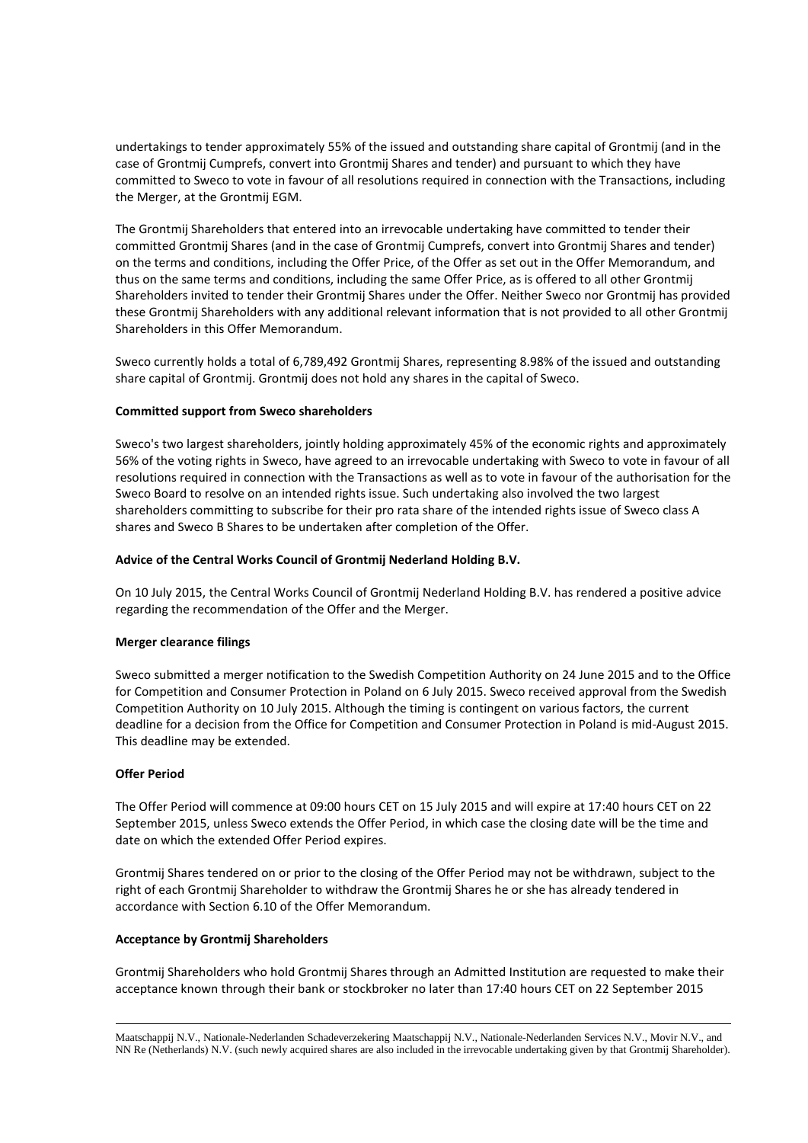undertakings to tender approximately 55% of the issued and outstanding share capital of Grontmij (and in the case of Grontmij Cumprefs, convert into Grontmij Shares and tender) and pursuant to which they have committed to Sweco to vote in favour of all resolutions required in connection with the Transactions, including the Merger, at the Grontmij EGM.

The Grontmij Shareholders that entered into an irrevocable undertaking have committed to tender their committed Grontmij Shares (and in the case of Grontmij Cumprefs, convert into Grontmij Shares and tender) on the terms and conditions, including the Offer Price, of the Offer as set out in the Offer Memorandum, and thus on the same terms and conditions, including the same Offer Price, as is offered to all other Grontmij Shareholders invited to tender their Grontmij Shares under the Offer. Neither Sweco nor Grontmij has provided these Grontmij Shareholders with any additional relevant information that is not provided to all other Grontmij Shareholders in this Offer Memorandum.

Sweco currently holds a total of 6,789,492 Grontmij Shares, representing 8.98% of the issued and outstanding share capital of Grontmij. Grontmij does not hold any shares in the capital of Sweco.

## **Committed support from Sweco shareholders**

Sweco's two largest shareholders, jointly holding approximately 45% of the economic rights and approximately 56% of the voting rights in Sweco, have agreed to an irrevocable undertaking with Sweco to vote in favour of all resolutions required in connection with the Transactions as well as to vote in favour of the authorisation for the Sweco Board to resolve on an intended rights issue. Such undertaking also involved the two largest shareholders committing to subscribe for their pro rata share of the intended rights issue of Sweco class A shares and Sweco B Shares to be undertaken after completion of the Offer.

## **Advice of the Central Works Council of Grontmij Nederland Holding B.V.**

On 10 July 2015, the Central Works Council of Grontmij Nederland Holding B.V. has rendered a positive advice regarding the recommendation of the Offer and the Merger.

## **Merger clearance filings**

Sweco submitted a merger notification to the Swedish Competition Authority on 24 June 2015 and to the Office for Competition and Consumer Protection in Poland on 6 July 2015. Sweco received approval from the Swedish Competition Authority on 10 July 2015. Although the timing is contingent on various factors, the current deadline for a decision from the Office for Competition and Consumer Protection in Poland is mid-August 2015. This deadline may be extended.

## **Offer Period**

The Offer Period will commence at 09:00 hours CET on 15 July 2015 and will expire at 17:40 hours CET on 22 September 2015, unless Sweco extends the Offer Period, in which case the closing date will be the time and date on which the extended Offer Period expires.

Grontmij Shares tendered on or prior to the closing of the Offer Period may not be withdrawn, subject to the right of each Grontmij Shareholder to withdraw the Grontmij Shares he or she has already tendered in accordance with Section 6.10 of the Offer Memorandum.

## **Acceptance by Grontmij Shareholders**

Grontmij Shareholders who hold Grontmij Shares through an Admitted Institution are requested to make their acceptance known through their bank or stockbroker no later than 17:40 hours CET on 22 September 2015

Maatschappij N.V., Nationale-Nederlanden Schadeverzekering Maatschappij N.V., Nationale-Nederlanden Services N.V., Movir N.V., and NN Re (Netherlands) N.V. (such newly acquired shares are also included in the irrevocable undertaking given by that Grontmij Shareholder). -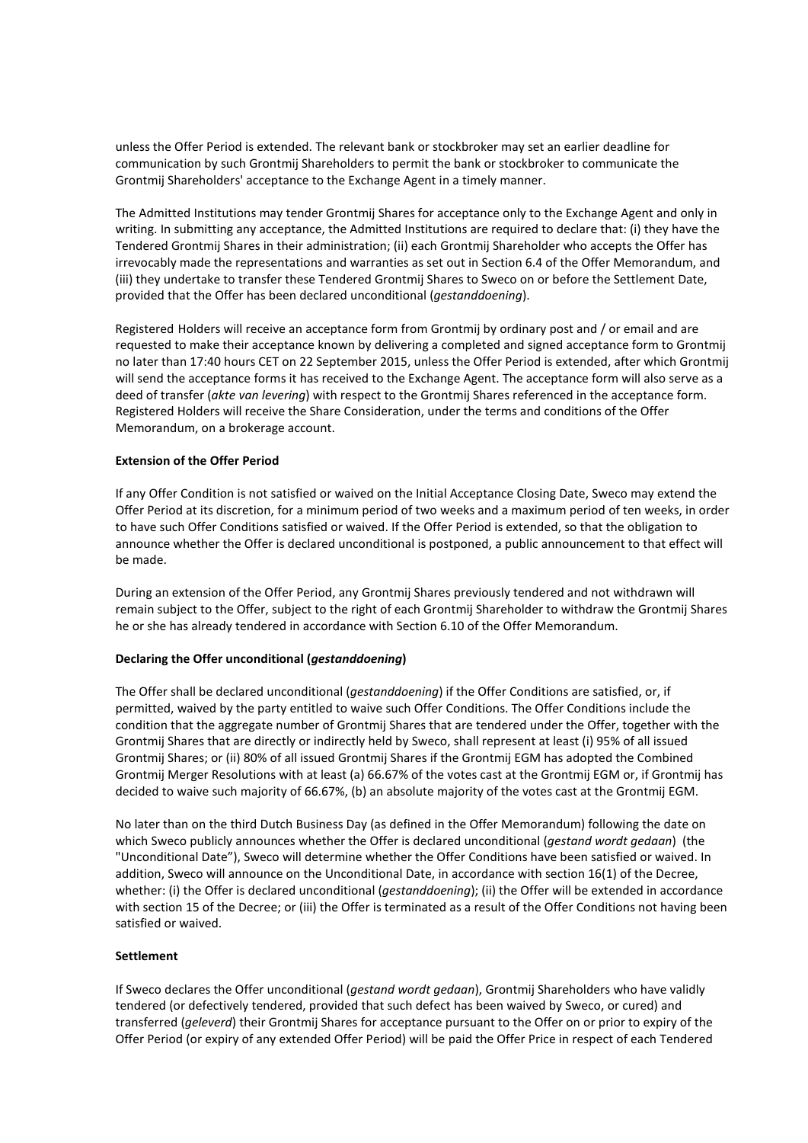unless the Offer Period is extended. The relevant bank or stockbroker may set an earlier deadline for communication by such Grontmij Shareholders to permit the bank or stockbroker to communicate the Grontmij Shareholders' acceptance to the Exchange Agent in a timely manner.

The Admitted Institutions may tender Grontmij Shares for acceptance only to the Exchange Agent and only in writing. In submitting any acceptance, the Admitted Institutions are required to declare that: (i) they have the Tendered Grontmij Shares in their administration; (ii) each Grontmij Shareholder who accepts the Offer has irrevocably made the representations and warranties as set out in Section 6.4 of the Offer Memorandum, and (iii) they undertake to transfer these Tendered Grontmij Shares to Sweco on or before the Settlement Date, provided that the Offer has been declared unconditional (*gestanddoening*).

Registered Holders will receive an acceptance form from Grontmij by ordinary post and / or email and are requested to make their acceptance known by delivering a completed and signed acceptance form to Grontmij no later than 17:40 hours CET on 22 September 2015, unless the Offer Period is extended, after which Grontmij will send the acceptance forms it has received to the Exchange Agent. The acceptance form will also serve as a deed of transfer (*akte van levering*) with respect to the Grontmij Shares referenced in the acceptance form. Registered Holders will receive the Share Consideration, under the terms and conditions of the Offer Memorandum, on a brokerage account.

# **Extension of the Offer Period**

If any Offer Condition is not satisfied or waived on the Initial Acceptance Closing Date, Sweco may extend the Offer Period at its discretion, for a minimum period of two weeks and a maximum period of ten weeks, in order to have such Offer Conditions satisfied or waived. If the Offer Period is extended, so that the obligation to announce whether the Offer is declared unconditional is postponed, a public announcement to that effect will be made.

During an extension of the Offer Period, any Grontmij Shares previously tendered and not withdrawn will remain subject to the Offer, subject to the right of each Grontmij Shareholder to withdraw the Grontmij Shares he or she has already tendered in accordance with Section 6.10 of the Offer Memorandum.

# **Declaring the Offer unconditional (***gestanddoening***)**

The Offer shall be declared unconditional (*gestanddoening*) if the Offer Conditions are satisfied, or, if permitted, waived by the party entitled to waive such Offer Conditions. The Offer Conditions include the condition that the aggregate number of Grontmij Shares that are tendered under the Offer, together with the Grontmij Shares that are directly or indirectly held by Sweco, shall represent at least (i) 95% of all issued Grontmij Shares; or (ii) 80% of all issued Grontmij Shares if the Grontmij EGM has adopted the Combined Grontmij Merger Resolutions with at least (a) 66.67% of the votes cast at the Grontmij EGM or, if Grontmij has decided to waive such majority of 66.67%, (b) an absolute majority of the votes cast at the Grontmij EGM.

No later than on the third Dutch Business Day (as defined in the Offer Memorandum) following the date on which Sweco publicly announces whether the Offer is declared unconditional (*gestand wordt gedaan*) (the "Unconditional Date"), Sweco will determine whether the Offer Conditions have been satisfied or waived. In addition, Sweco will announce on the Unconditional Date, in accordance with section 16(1) of the Decree, whether: (i) the Offer is declared unconditional (*gestanddoening*); (ii) the Offer will be extended in accordance with section 15 of the Decree; or (iii) the Offer is terminated as a result of the Offer Conditions not having been satisfied or waived.

## **Settlement**

If Sweco declares the Offer unconditional (*gestand wordt gedaan*), Grontmij Shareholders who have validly tendered (or defectively tendered, provided that such defect has been waived by Sweco, or cured) and transferred (*geleverd*) their Grontmij Shares for acceptance pursuant to the Offer on or prior to expiry of the Offer Period (or expiry of any extended Offer Period) will be paid the Offer Price in respect of each Tendered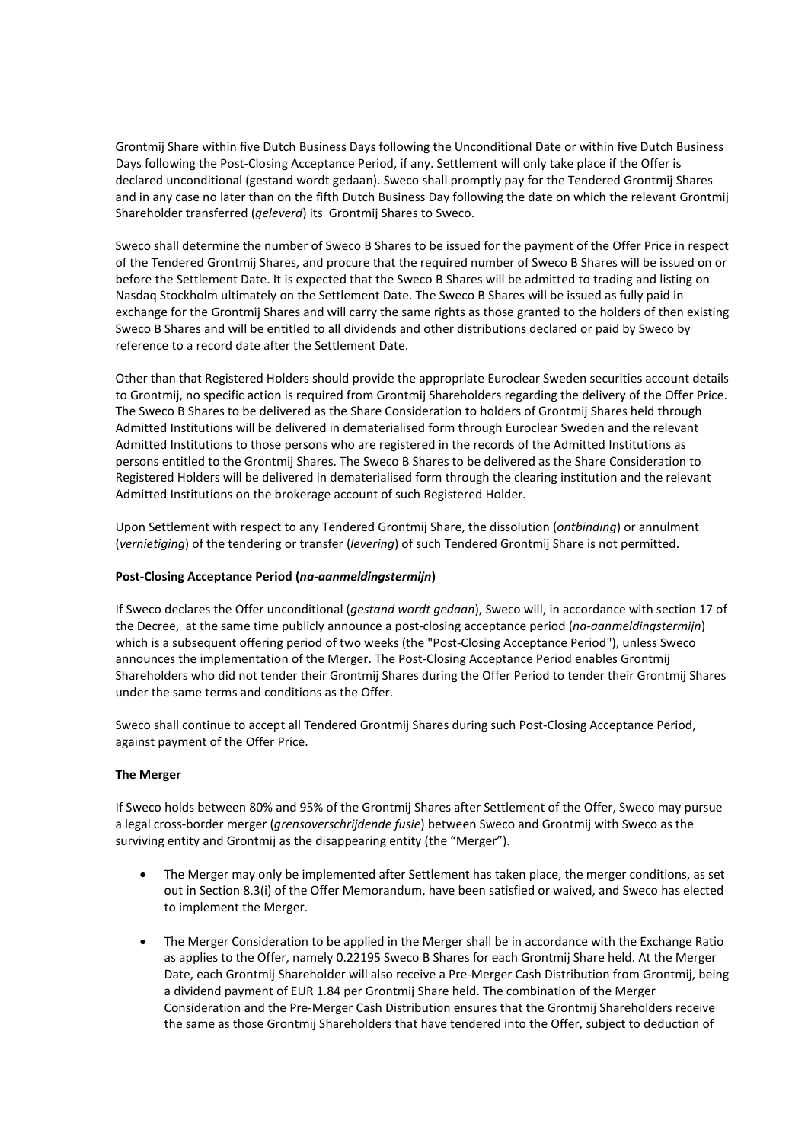Grontmij Share within five Dutch Business Days following the Unconditional Date or within five Dutch Business Days following the Post-Closing Acceptance Period, if any. Settlement will only take place if the Offer is declared unconditional (gestand wordt gedaan). Sweco shall promptly pay for the Tendered Grontmij Shares and in any case no later than on the fifth Dutch Business Day following the date on which the relevant Grontmij Shareholder transferred (*geleverd*) its Grontmij Shares to Sweco.

Sweco shall determine the number of Sweco B Shares to be issued for the payment of the Offer Price in respect of the Tendered Grontmij Shares, and procure that the required number of Sweco B Shares will be issued on or before the Settlement Date. It is expected that the Sweco B Shares will be admitted to trading and listing on Nasdaq Stockholm ultimately on the Settlement Date. The Sweco B Shares will be issued as fully paid in exchange for the Grontmij Shares and will carry the same rights as those granted to the holders of then existing Sweco B Shares and will be entitled to all dividends and other distributions declared or paid by Sweco by reference to a record date after the Settlement Date.

Other than that Registered Holders should provide the appropriate Euroclear Sweden securities account details to Grontmij, no specific action is required from Grontmij Shareholders regarding the delivery of the Offer Price. The Sweco B Shares to be delivered as the Share Consideration to holders of Grontmij Shares held through Admitted Institutions will be delivered in dematerialised form through Euroclear Sweden and the relevant Admitted Institutions to those persons who are registered in the records of the Admitted Institutions as persons entitled to the Grontmij Shares. The Sweco B Shares to be delivered as the Share Consideration to Registered Holders will be delivered in dematerialised form through the clearing institution and the relevant Admitted Institutions on the brokerage account of such Registered Holder.

Upon Settlement with respect to any Tendered Grontmij Share, the dissolution (*ontbinding*) or annulment (*vernietiging*) of the tendering or transfer (*levering*) of such Tendered Grontmij Share is not permitted.

# **Post-Closing Acceptance Period (***na-aanmeldingstermijn***)**

If Sweco declares the Offer unconditional (*gestand wordt gedaan*), Sweco will, in accordance with section 17 of the Decree, at the same time publicly announce a post-closing acceptance period (*na-aanmeldingstermijn*) which is a subsequent offering period of two weeks (the "Post-Closing Acceptance Period"), unless Sweco announces the implementation of the Merger. The Post-Closing Acceptance Period enables Grontmij Shareholders who did not tender their Grontmij Shares during the Offer Period to tender their Grontmij Shares under the same terms and conditions as the Offer.

Sweco shall continue to accept all Tendered Grontmij Shares during such Post-Closing Acceptance Period, against payment of the Offer Price.

# **The Merger**

If Sweco holds between 80% and 95% of the Grontmij Shares after Settlement of the Offer, Sweco may pursue a legal cross-border merger (*grensoverschrijdende fusie*) between Sweco and Grontmij with Sweco as the surviving entity and Grontmij as the disappearing entity (the "Merger").

- The Merger may only be implemented after Settlement has taken place, the merger conditions, as set out in Section 8.3(i) of the Offer Memorandum, have been satisfied or waived, and Sweco has elected to implement the Merger.
- The Merger Consideration to be applied in the Merger shall be in accordance with the Exchange Ratio as applies to the Offer, namely 0.22195 Sweco B Shares for each Grontmij Share held. At the Merger Date, each Grontmij Shareholder will also receive a Pre-Merger Cash Distribution from Grontmij, being a dividend payment of EUR 1.84 per Grontmij Share held. The combination of the Merger Consideration and the Pre-Merger Cash Distribution ensures that the Grontmij Shareholders receive the same as those Grontmij Shareholders that have tendered into the Offer, subject to deduction of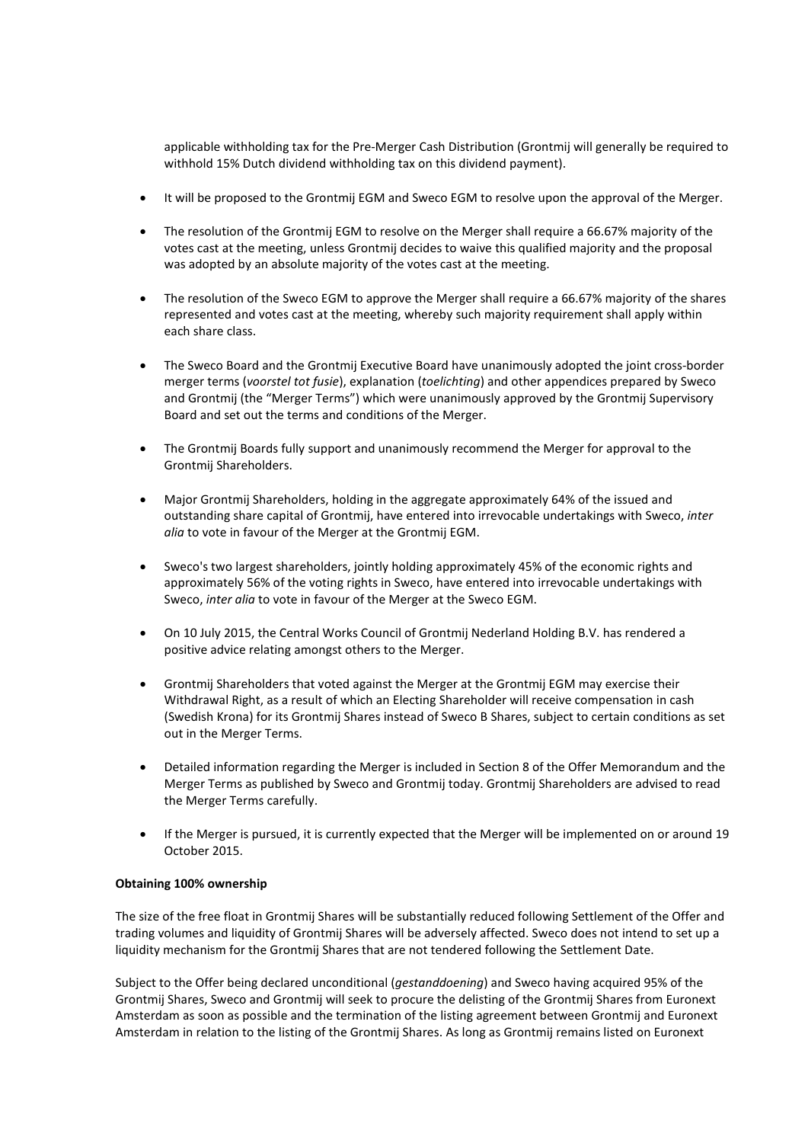applicable withholding tax for the Pre-Merger Cash Distribution (Grontmij will generally be required to withhold 15% Dutch dividend withholding tax on this dividend payment).

- It will be proposed to the Grontmij EGM and Sweco EGM to resolve upon the approval of the Merger.
- The resolution of the Grontmij EGM to resolve on the Merger shall require a 66.67% majority of the votes cast at the meeting, unless Grontmij decides to waive this qualified majority and the proposal was adopted by an absolute majority of the votes cast at the meeting.
- The resolution of the Sweco EGM to approve the Merger shall require a 66.67% majority of the shares represented and votes cast at the meeting, whereby such majority requirement shall apply within each share class.
- The Sweco Board and the Grontmij Executive Board have unanimously adopted the joint cross-border merger terms (*voorstel tot fusie*), explanation (*toelichting*) and other appendices prepared by Sweco and Grontmij (the "Merger Terms") which were unanimously approved by the Grontmij Supervisory Board and set out the terms and conditions of the Merger.
- The Grontmij Boards fully support and unanimously recommend the Merger for approval to the Grontmij Shareholders.
- Major Grontmij Shareholders, holding in the aggregate approximately 64% of the issued and outstanding share capital of Grontmij, have entered into irrevocable undertakings with Sweco, *inter alia* to vote in favour of the Merger at the Grontmij EGM.
- Sweco's two largest shareholders, jointly holding approximately 45% of the economic rights and approximately 56% of the voting rights in Sweco, have entered into irrevocable undertakings with Sweco, *inter alia* to vote in favour of the Merger at the Sweco EGM.
- On 10 July 2015, the Central Works Council of Grontmij Nederland Holding B.V. has rendered a positive advice relating amongst others to the Merger.
- Grontmij Shareholders that voted against the Merger at the Grontmij EGM may exercise their Withdrawal Right, as a result of which an Electing Shareholder will receive compensation in cash (Swedish Krona) for its Grontmij Shares instead of Sweco B Shares, subject to certain conditions as set out in the Merger Terms.
- Detailed information regarding the Merger is included in Section 8 of the Offer Memorandum and the Merger Terms as published by Sweco and Grontmij today. Grontmij Shareholders are advised to read the Merger Terms carefully.
- If the Merger is pursued, it is currently expected that the Merger will be implemented on or around 19 October 2015.

# **Obtaining 100% ownership**

The size of the free float in Grontmij Shares will be substantially reduced following Settlement of the Offer and trading volumes and liquidity of Grontmij Shares will be adversely affected. Sweco does not intend to set up a liquidity mechanism for the Grontmij Shares that are not tendered following the Settlement Date.

Subject to the Offer being declared unconditional (*gestanddoening*) and Sweco having acquired 95% of the Grontmij Shares, Sweco and Grontmij will seek to procure the delisting of the Grontmij Shares from Euronext Amsterdam as soon as possible and the termination of the listing agreement between Grontmij and Euronext Amsterdam in relation to the listing of the Grontmij Shares. As long as Grontmij remains listed on Euronext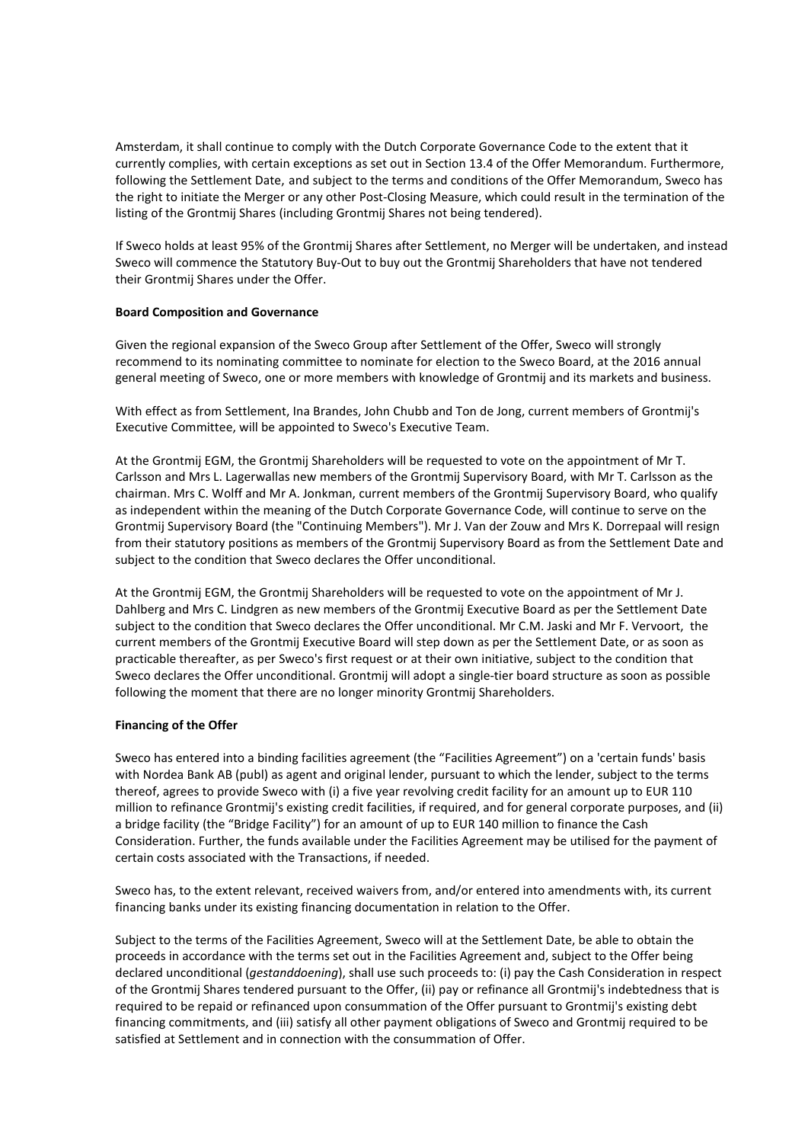Amsterdam, it shall continue to comply with the Dutch Corporate Governance Code to the extent that it currently complies, with certain exceptions as set out in Section 13.4 of the Offer Memorandum. Furthermore, following the Settlement Date, and subject to the terms and conditions of the Offer Memorandum, Sweco has the right to initiate the Merger or any other Post-Closing Measure, which could result in the termination of the listing of the Grontmij Shares (including Grontmij Shares not being tendered).

If Sweco holds at least 95% of the Grontmij Shares after Settlement, no Merger will be undertaken, and instead Sweco will commence the Statutory Buy-Out to buy out the Grontmij Shareholders that have not tendered their Grontmij Shares under the Offer.

# **Board Composition and Governance**

Given the regional expansion of the Sweco Group after Settlement of the Offer, Sweco will strongly recommend to its nominating committee to nominate for election to the Sweco Board, at the 2016 annual general meeting of Sweco, one or more members with knowledge of Grontmij and its markets and business.

With effect as from Settlement, Ina Brandes, John Chubb and Ton de Jong, current members of Grontmij's Executive Committee, will be appointed to Sweco's Executive Team.

At the Grontmij EGM, the Grontmij Shareholders will be requested to vote on the appointment of Mr T. Carlsson and Mrs L. Lagerwallas new members of the Grontmij Supervisory Board, with Mr T. Carlsson as the chairman. Mrs C. Wolff and Mr A. Jonkman, current members of the Grontmij Supervisory Board, who qualify as independent within the meaning of the Dutch Corporate Governance Code, will continue to serve on the Grontmij Supervisory Board (the "Continuing Members"). Mr J. Van der Zouw and Mrs K. Dorrepaal will resign from their statutory positions as members of the Grontmij Supervisory Board as from the Settlement Date and subject to the condition that Sweco declares the Offer unconditional.

At the Grontmij EGM, the Grontmij Shareholders will be requested to vote on the appointment of Mr J. Dahlberg and Mrs C. Lindgren as new members of the Grontmij Executive Board as per the Settlement Date subject to the condition that Sweco declares the Offer unconditional. Mr C.M. Jaski and Mr F. Vervoort, the current members of the Grontmij Executive Board will step down as per the Settlement Date, or as soon as practicable thereafter, as per Sweco's first request or at their own initiative, subject to the condition that Sweco declares the Offer unconditional. Grontmij will adopt a single-tier board structure as soon as possible following the moment that there are no longer minority Grontmij Shareholders.

## **Financing of the Offer**

Sweco has entered into a binding facilities agreement (the "Facilities Agreement") on a 'certain funds' basis with Nordea Bank AB (publ) as agent and original lender, pursuant to which the lender, subject to the terms thereof, agrees to provide Sweco with (i) a five year revolving credit facility for an amount up to EUR 110 million to refinance Grontmij's existing credit facilities, if required, and for general corporate purposes, and (ii) a bridge facility (the "Bridge Facility") for an amount of up to EUR 140 million to finance the Cash Consideration. Further, the funds available under the Facilities Agreement may be utilised for the payment of certain costs associated with the Transactions, if needed.

Sweco has, to the extent relevant, received waivers from, and/or entered into amendments with, its current financing banks under its existing financing documentation in relation to the Offer.

Subject to the terms of the Facilities Agreement, Sweco will at the Settlement Date, be able to obtain the proceeds in accordance with the terms set out in the Facilities Agreement and, subject to the Offer being declared unconditional (*gestanddoening*), shall use such proceeds to: (i) pay the Cash Consideration in respect of the Grontmij Shares tendered pursuant to the Offer, (ii) pay or refinance all Grontmij's indebtedness that is required to be repaid or refinanced upon consummation of the Offer pursuant to Grontmij's existing debt financing commitments, and (iii) satisfy all other payment obligations of Sweco and Grontmij required to be satisfied at Settlement and in connection with the consummation of Offer.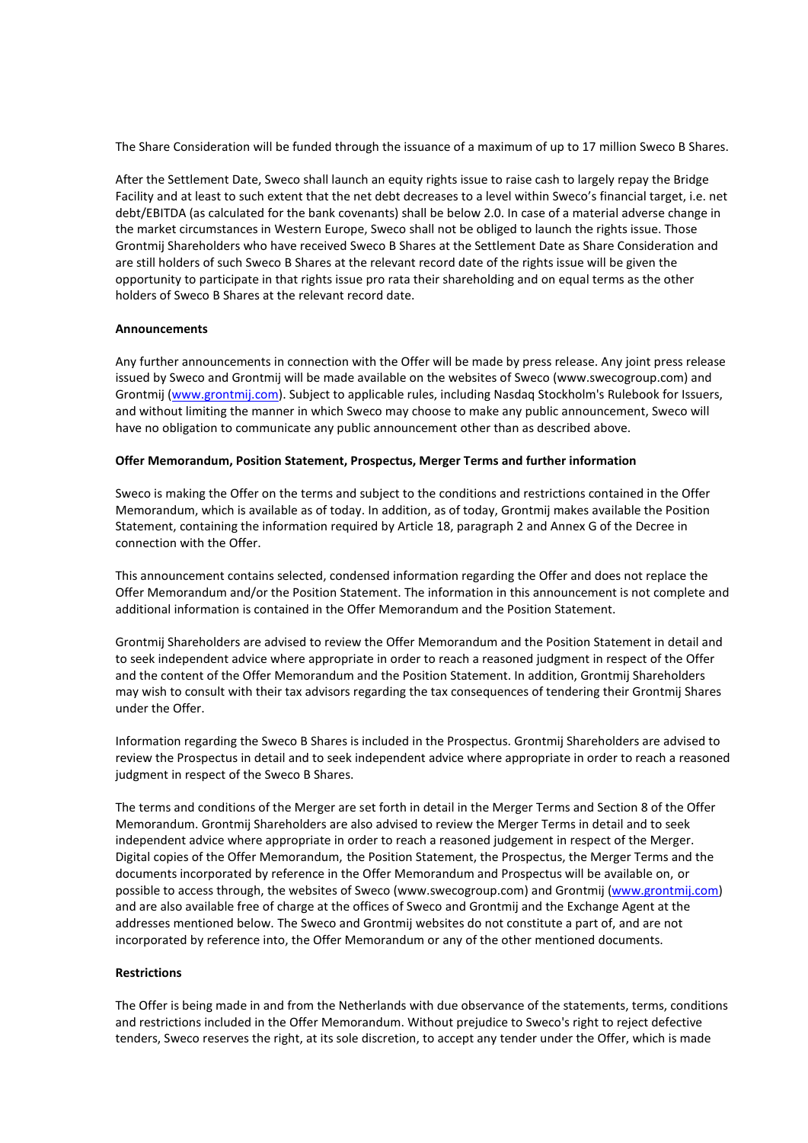The Share Consideration will be funded through the issuance of a maximum of up to 17 million Sweco B Shares.

After the Settlement Date, Sweco shall launch an equity rights issue to raise cash to largely repay the Bridge Facility and at least to such extent that the net debt decreases to a level within Sweco's financial target, i.e. net debt/EBITDA (as calculated for the bank covenants) shall be below 2.0. In case of a material adverse change in the market circumstances in Western Europe, Sweco shall not be obliged to launch the rights issue. Those Grontmij Shareholders who have received Sweco B Shares at the Settlement Date as Share Consideration and are still holders of such Sweco B Shares at the relevant record date of the rights issue will be given the opportunity to participate in that rights issue pro rata their shareholding and on equal terms as the other holders of Sweco B Shares at the relevant record date.

## **Announcements**

Any further announcements in connection with the Offer will be made by press release. Any joint press release issued by Sweco and Grontmij will be made available on the websites of Sweco (www.swecogroup.com) and Grontmij [\(www.grontmij.com\)](http://www.grontmij.com/). Subject to applicable rules, including Nasdaq Stockholm's Rulebook for Issuers, and without limiting the manner in which Sweco may choose to make any public announcement, Sweco will have no obligation to communicate any public announcement other than as described above.

## **Offer Memorandum, Position Statement, Prospectus, Merger Terms and further information**

Sweco is making the Offer on the terms and subject to the conditions and restrictions contained in the Offer Memorandum, which is available as of today. In addition, as of today, Grontmij makes available the Position Statement, containing the information required by Article 18, paragraph 2 and Annex G of the Decree in connection with the Offer.

This announcement contains selected, condensed information regarding the Offer and does not replace the Offer Memorandum and/or the Position Statement. The information in this announcement is not complete and additional information is contained in the Offer Memorandum and the Position Statement.

Grontmij Shareholders are advised to review the Offer Memorandum and the Position Statement in detail and to seek independent advice where appropriate in order to reach a reasoned judgment in respect of the Offer and the content of the Offer Memorandum and the Position Statement. In addition, Grontmij Shareholders may wish to consult with their tax advisors regarding the tax consequences of tendering their Grontmij Shares under the Offer.

Information regarding the Sweco B Shares is included in the Prospectus. Grontmij Shareholders are advised to review the Prospectus in detail and to seek independent advice where appropriate in order to reach a reasoned judgment in respect of the Sweco B Shares.

The terms and conditions of the Merger are set forth in detail in the Merger Terms and Section 8 of the Offer Memorandum. Grontmij Shareholders are also advised to review the Merger Terms in detail and to seek independent advice where appropriate in order to reach a reasoned judgement in respect of the Merger. Digital copies of the Offer Memorandum, the Position Statement, the Prospectus, the Merger Terms and the documents incorporated by reference in the Offer Memorandum and Prospectus will be available on, or possible to access through, the websites of Sweco (www.swecogroup.com) and Grontmij [\(www.grontmij.com\)](http://www.grontmij.com/) and are also available free of charge at the offices of Sweco and Grontmij and the Exchange Agent at the addresses mentioned below. The Sweco and Grontmij websites do not constitute a part of, and are not incorporated by reference into, the Offer Memorandum or any of the other mentioned documents.

## **Restrictions**

The Offer is being made in and from the Netherlands with due observance of the statements, terms, conditions and restrictions included in the Offer Memorandum. Without prejudice to Sweco's right to reject defective tenders, Sweco reserves the right, at its sole discretion, to accept any tender under the Offer, which is made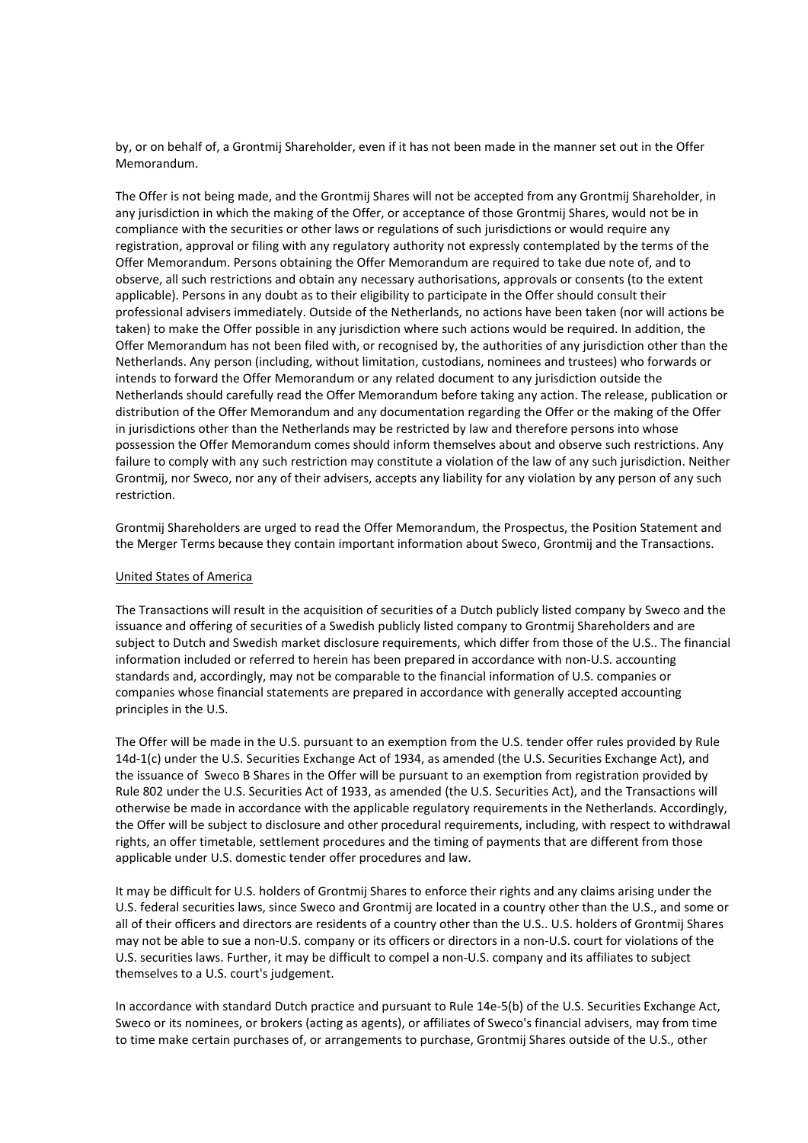by, or on behalf of, a Grontmij Shareholder, even if it has not been made in the manner set out in the Offer Memorandum.

The Offer is not being made, and the Grontmij Shares will not be accepted from any Grontmij Shareholder, in any jurisdiction in which the making of the Offer, or acceptance of those Grontmij Shares, would not be in compliance with the securities or other laws or regulations of such jurisdictions or would require any registration, approval or filing with any regulatory authority not expressly contemplated by the terms of the Offer Memorandum. Persons obtaining the Offer Memorandum are required to take due note of, and to observe, all such restrictions and obtain any necessary authorisations, approvals or consents (to the extent applicable). Persons in any doubt as to their eligibility to participate in the Offer should consult their professional advisers immediately. Outside of the Netherlands, no actions have been taken (nor will actions be taken) to make the Offer possible in any jurisdiction where such actions would be required. In addition, the Offer Memorandum has not been filed with, or recognised by, the authorities of any jurisdiction other than the Netherlands. Any person (including, without limitation, custodians, nominees and trustees) who forwards or intends to forward the Offer Memorandum or any related document to any jurisdiction outside the Netherlands should carefully read the Offer Memorandum before taking any action. The release, publication or distribution of the Offer Memorandum and any documentation regarding the Offer or the making of the Offer in jurisdictions other than the Netherlands may be restricted by law and therefore persons into whose possession the Offer Memorandum comes should inform themselves about and observe such restrictions. Any failure to comply with any such restriction may constitute a violation of the law of any such jurisdiction. Neither Grontmij, nor Sweco, nor any of their advisers, accepts any liability for any violation by any person of any such restriction.

Grontmij Shareholders are urged to read the Offer Memorandum, the Prospectus, the Position Statement and the Merger Terms because they contain important information about Sweco, Grontmij and the Transactions.

## United States of America

The Transactions will result in the acquisition of securities of a Dutch publicly listed company by Sweco and the issuance and offering of securities of a Swedish publicly listed company to Grontmij Shareholders and are subject to Dutch and Swedish market disclosure requirements, which differ from those of the U.S.. The financial information included or referred to herein has been prepared in accordance with non-U.S. accounting standards and, accordingly, may not be comparable to the financial information of U.S. companies or companies whose financial statements are prepared in accordance with generally accepted accounting principles in the U.S.

The Offer will be made in the U.S. pursuant to an exemption from the U.S. tender offer rules provided by Rule 14d-1(c) under the U.S. Securities Exchange Act of 1934, as amended (the U.S. Securities Exchange Act), and the issuance of Sweco B Shares in the Offer will be pursuant to an exemption from registration provided by Rule 802 under the U.S. Securities Act of 1933, as amended (the U.S. Securities Act), and the Transactions will otherwise be made in accordance with the applicable regulatory requirements in the Netherlands. Accordingly, the Offer will be subject to disclosure and other procedural requirements, including, with respect to withdrawal rights, an offer timetable, settlement procedures and the timing of payments that are different from those applicable under U.S. domestic tender offer procedures and law.

It may be difficult for U.S. holders of Grontmij Shares to enforce their rights and any claims arising under the U.S. federal securities laws, since Sweco and Grontmij are located in a country other than the U.S., and some or all of their officers and directors are residents of a country other than the U.S.. U.S. holders of Grontmij Shares may not be able to sue a non-U.S. company or its officers or directors in a non-U.S. court for violations of the U.S. securities laws. Further, it may be difficult to compel a non-U.S. company and its affiliates to subject themselves to a U.S. court's judgement.

In accordance with standard Dutch practice and pursuant to Rule 14e-5(b) of the U.S. Securities Exchange Act, Sweco or its nominees, or brokers (acting as agents), or affiliates of Sweco's financial advisers, may from time to time make certain purchases of, or arrangements to purchase, Grontmij Shares outside of the U.S., other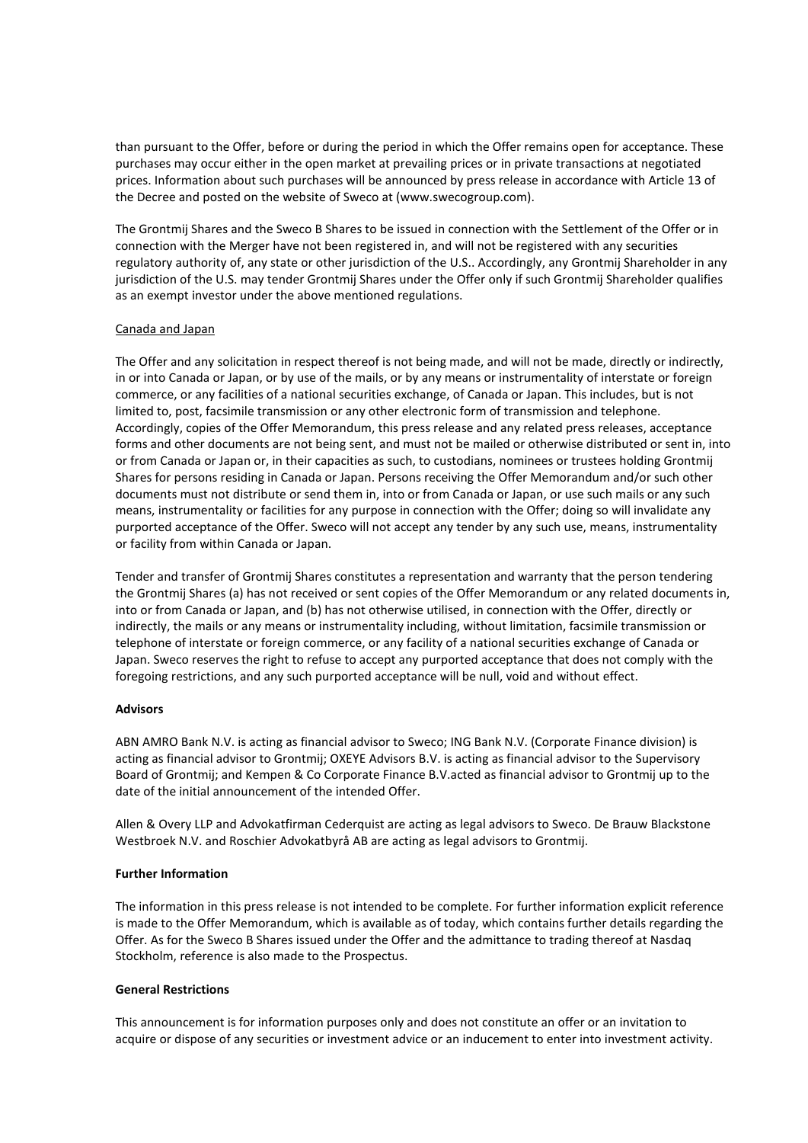than pursuant to the Offer, before or during the period in which the Offer remains open for acceptance. These purchases may occur either in the open market at prevailing prices or in private transactions at negotiated prices. Information about such purchases will be announced by press release in accordance with Article 13 of the Decree and posted on the website of Sweco at (www.swecogroup.com).

The Grontmij Shares and the Sweco B Shares to be issued in connection with the Settlement of the Offer or in connection with the Merger have not been registered in, and will not be registered with any securities regulatory authority of, any state or other jurisdiction of the U.S.. Accordingly, any Grontmij Shareholder in any jurisdiction of the U.S. may tender Grontmij Shares under the Offer only if such Grontmij Shareholder qualifies as an exempt investor under the above mentioned regulations.

# Canada and Japan

The Offer and any solicitation in respect thereof is not being made, and will not be made, directly or indirectly, in or into Canada or Japan, or by use of the mails, or by any means or instrumentality of interstate or foreign commerce, or any facilities of a national securities exchange, of Canada or Japan. This includes, but is not limited to, post, facsimile transmission or any other electronic form of transmission and telephone. Accordingly, copies of the Offer Memorandum, this press release and any related press releases, acceptance forms and other documents are not being sent, and must not be mailed or otherwise distributed or sent in, into or from Canada or Japan or, in their capacities as such, to custodians, nominees or trustees holding Grontmij Shares for persons residing in Canada or Japan. Persons receiving the Offer Memorandum and/or such other documents must not distribute or send them in, into or from Canada or Japan, or use such mails or any such means, instrumentality or facilities for any purpose in connection with the Offer; doing so will invalidate any purported acceptance of the Offer. Sweco will not accept any tender by any such use, means, instrumentality or facility from within Canada or Japan.

Tender and transfer of Grontmij Shares constitutes a representation and warranty that the person tendering the Grontmij Shares (a) has not received or sent copies of the Offer Memorandum or any related documents in, into or from Canada or Japan, and (b) has not otherwise utilised, in connection with the Offer, directly or indirectly, the mails or any means or instrumentality including, without limitation, facsimile transmission or telephone of interstate or foreign commerce, or any facility of a national securities exchange of Canada or Japan. Sweco reserves the right to refuse to accept any purported acceptance that does not comply with the foregoing restrictions, and any such purported acceptance will be null, void and without effect.

## **Advisors**

ABN AMRO Bank N.V. is acting as financial advisor to Sweco; ING Bank N.V. (Corporate Finance division) is acting as financial advisor to Grontmij; OXEYE Advisors B.V. is acting as financial advisor to the Supervisory Board of Grontmij; and Kempen & Co Corporate Finance B.V.acted as financial advisor to Grontmij up to the date of the initial announcement of the intended Offer.

Allen & Overy LLP and Advokatfirman Cederquist are acting as legal advisors to Sweco. De Brauw Blackstone Westbroek N.V. and Roschier Advokatbyrå AB are acting as legal advisors to Grontmij.

## **Further Information**

The information in this press release is not intended to be complete. For further information explicit reference is made to the Offer Memorandum, which is available as of today, which contains further details regarding the Offer. As for the Sweco B Shares issued under the Offer and the admittance to trading thereof at Nasdaq Stockholm, reference is also made to the Prospectus.

## **General Restrictions**

This announcement is for information purposes only and does not constitute an offer or an invitation to acquire or dispose of any securities or investment advice or an inducement to enter into investment activity.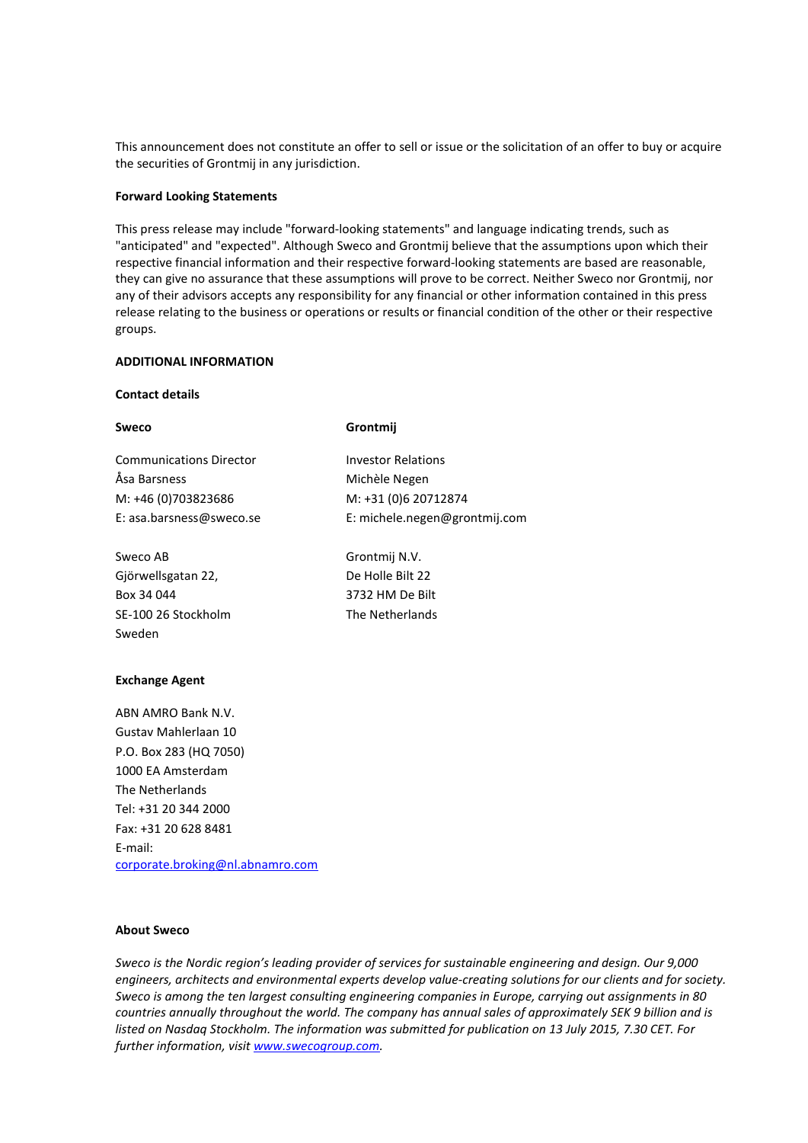This announcement does not constitute an offer to sell or issue or the solicitation of an offer to buy or acquire the securities of Grontmij in any jurisdiction.

#### **Forward Looking Statements**

This press release may include "forward-looking statements" and language indicating trends, such as "anticipated" and "expected". Although Sweco and Grontmij believe that the assumptions upon which their respective financial information and their respective forward-looking statements are based are reasonable, they can give no assurance that these assumptions will prove to be correct. Neither Sweco nor Grontmij, nor any of their advisors accepts any responsibility for any financial or other information contained in this press release relating to the business or operations or results or financial condition of the other or their respective groups.

#### **ADDITIONAL INFORMATION**

## **Contact details**

| Sweco                          | Grontmij                      |
|--------------------------------|-------------------------------|
| <b>Communications Director</b> | <b>Investor Relations</b>     |
| Åsa Barsness                   | Michèle Negen                 |
| M: +46 (0)703823686            | M: +31 (0)6 20712874          |
| E: asa.barsness@sweco.se       | E: michele.negen@grontmij.com |
| Sweco AB                       | Grontmij N.V.                 |
| Gjörwellsgatan 22,             | De Holle Bilt 22              |
| Box 34 044                     | 3732 HM De Bilt               |
| SE-100 26 Stockholm            | The Netherlands               |
| Sweden                         |                               |

## **Exchange Agent**

ABN AMRO Bank N.V. Gustav Mahlerlaan 10 P.O. Box 283 (HQ 7050) 1000 EA Amsterdam The Netherlands Tel: +31 20 344 2000 Fax: +31 20 628 8481 E-mail: [corporate.broking@nl.abnamro.com](mailto:corporate.broking@nl.abnamro.com)

## **About Sweco**

*Sweco is the Nordic region's leading provider of services for sustainable engineering and design. Our 9,000 engineers, architects and environmental experts develop value-creating solutions for our clients and for society. Sweco is among the ten largest consulting engineering companies in Europe, carrying out assignments in 80 countries annually throughout the world. The company has annual sales of approximately SEK 9 billion and is listed on Nasdaq Stockholm. The information was submitted for publication on 13 July 2015, 7.30 CET. For further information, visit [www.swecogroup.com.](http://www.swecogroup.com/)*